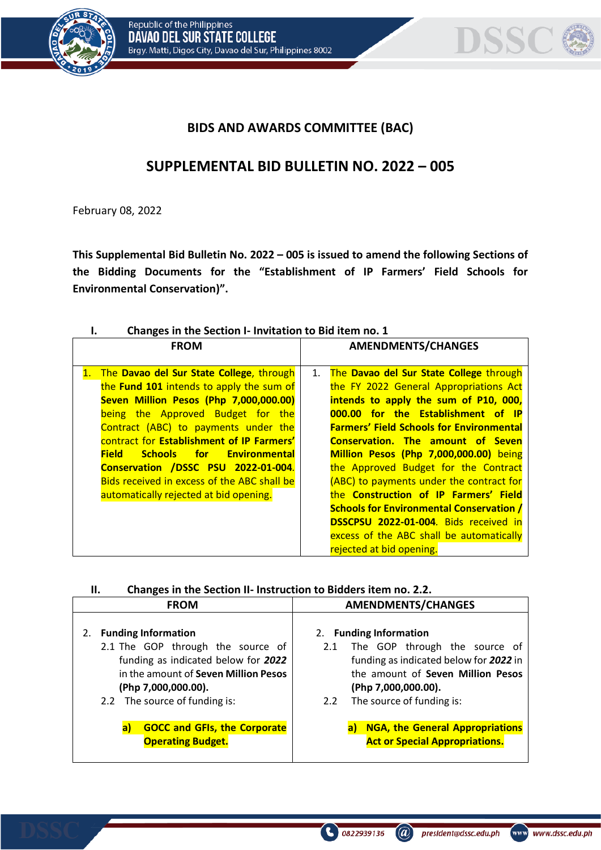



# **BIDS AND AWARDS COMMITTEE (BAC)**

# **SUPPLEMENTAL BID BULLETIN NO. 2022 – 005**

February 08, 2022

**This Supplemental Bid Bulletin No. 2022 – 005 is issued to amend the following Sections of the Bidding Documents for the "Establishment of IP Farmers' Field Schools for Environmental Conservation)".**

| Changes in the Section I- Invitation to Bid item no. 1                                                                                                   |                                                 |  |  |
|----------------------------------------------------------------------------------------------------------------------------------------------------------|-------------------------------------------------|--|--|
| <b>FROM</b>                                                                                                                                              | <b>AMENDMENTS/CHANGES</b>                       |  |  |
|                                                                                                                                                          |                                                 |  |  |
| The Davao del Sur State College, through<br>1.                                                                                                           | The Davao del Sur State College through<br>1.   |  |  |
| the Fund 101 intends to apply the sum of                                                                                                                 | the FY 2022 General Appropriations Act          |  |  |
| Seven Million Pesos (Php 7,000,000.00)                                                                                                                   | intends to apply the sum of P10, 000,           |  |  |
| being the Approved Budget for the                                                                                                                        | 000.00 for the Establishment of IP              |  |  |
| Contract (ABC) to payments under the                                                                                                                     | <b>Farmers' Field Schools for Environmental</b> |  |  |
| contract for Establishment of IP Farmers'                                                                                                                | <b>Conservation. The amount of Seven</b>        |  |  |
| <b>Field</b><br><b>Schools</b><br><b>19. Francisco Francisco Francisco Francisco Francisco Francisco Francisco Francisco Francisco Francisco Francis</b> | Million Pesos (Php 7,000,000.00) being          |  |  |
| Conservation /DSSC PSU 2022-01-004.                                                                                                                      | the Approved Budget for the Contract            |  |  |
| Bids received in excess of the ABC shall be                                                                                                              | (ABC) to payments under the contract for        |  |  |
| automatically rejected at bid opening.                                                                                                                   | the Construction of IP Farmers' Field           |  |  |
|                                                                                                                                                          | <b>Schools for Environmental Conservation /</b> |  |  |
|                                                                                                                                                          | <b>DSSCPSU 2022-01-004.</b> Bids received in    |  |  |
|                                                                                                                                                          | excess of the ABC shall be automatically        |  |  |
|                                                                                                                                                          | rejected at bid opening.                        |  |  |

|  | Ш. | Changes in the Section II- Instruction to Bidders item no. 2.2. |  |
|--|----|-----------------------------------------------------------------|--|
|--|----|-----------------------------------------------------------------|--|

| <b>FROM</b>                                                                                                                                                                                                  | <b>AMENDMENTS/CHANGES</b>                                                                                                                                                                                          |
|--------------------------------------------------------------------------------------------------------------------------------------------------------------------------------------------------------------|--------------------------------------------------------------------------------------------------------------------------------------------------------------------------------------------------------------------|
| <b>Funding Information</b><br>2.<br>2.1 The GOP through the source of<br>funding as indicated below for 2022<br>in the amount of Seven Million Pesos<br>(Php 7,000,000.00).<br>2.2 The source of funding is: | 2. Funding Information<br>The GOP through the source of<br>2.1<br>funding as indicated below for 2022 in<br>the amount of Seven Million Pesos<br>(Php 7,000,000.00).<br>The source of funding is:<br>$2.2^{\circ}$ |
| <b>GOCC and GFIs, the Corporate</b><br>a)<br><b>Operating Budget.</b>                                                                                                                                        | <b>NGA, the General Appropriations</b><br>a)<br><b>Act or Special Appropriations.</b>                                                                                                                              |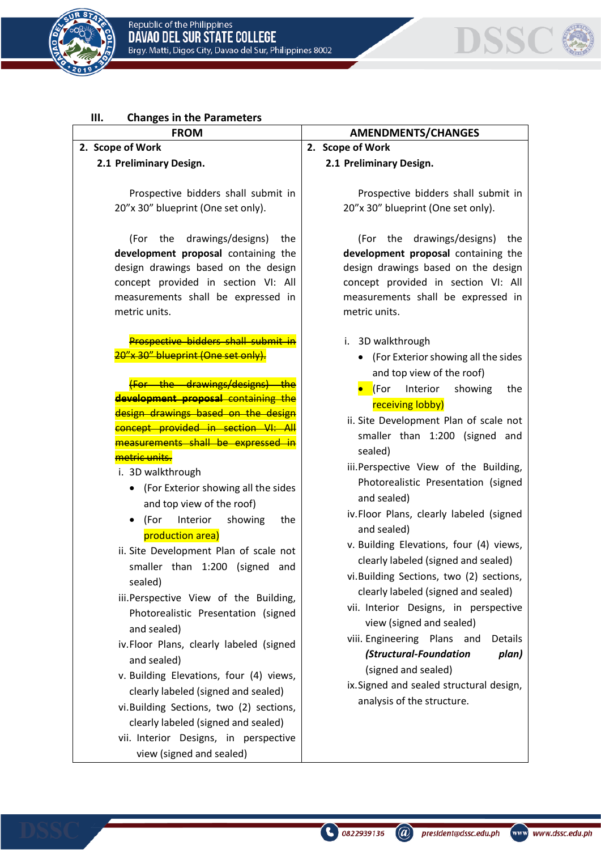



#### **III. Changes in the Parameters**

### **2. Scope of Work**

#### **2.1 Preliminary Design.**

Prospective bidders shall submit in 20"x 30" blueprint (One set only).

(For the drawings/designs) the **development proposal** containing the design drawings based on the design concept provided in section VI: All measurements shall be expressed in metric units.

Prospective bidders shall submit in 20"x 30" blueprint (One set only).

the drawings/designs **development proposal containing** design drawings based on the design concept provided in section VI measurements shall be expressed <mark>metric units.</mark>

#### i. 3D walkthrough

- (For Exterior showing all the sides and top view of the roof)
- (For Interior showing the production area)
- ii. Site Development Plan of scale not smaller than 1:200 (signed and sealed)
- iii.Perspective View of the Building, Photorealistic Presentation (signed and sealed)
- iv.Floor Plans, clearly labeled (signed and sealed)
- v. Building Elevations, four (4) views, clearly labeled (signed and sealed)
- vi.Building Sections, two (2) sections, clearly labeled (signed and sealed)
- vii. Interior Designs, in perspective view (signed and sealed)

#### **FROM AMENDMENTS/CHANGES**

**2. Scope of Work**

**2.1 Preliminary Design.** 

Prospective bidders shall submit in 20"x 30" blueprint (One set only).

(For the drawings/designs) the **development proposal** containing the design drawings based on the design concept provided in section VI: All measurements shall be expressed in metric units.

- i. 3D walkthrough
	- (For Exterior showing all the sides and top view of the roof)
	- **•** (For Interior showing the receiving lobby)
- ii. Site Development Plan of scale not smaller than 1:200 (signed and sealed)
- iii.Perspective View of the Building, Photorealistic Presentation (signed and sealed)
- iv.Floor Plans, clearly labeled (signed and sealed)
- v. Building Elevations, four (4) views, clearly labeled (signed and sealed)
- vi.Building Sections, two (2) sections, clearly labeled (signed and sealed)
- vii. Interior Designs, in perspective view (signed and sealed)
- viii. Engineering Plans and Details *(Structural-Foundation plan)*  (signed and sealed)
- ix.Signed and sealed structural design, analysis of the structure.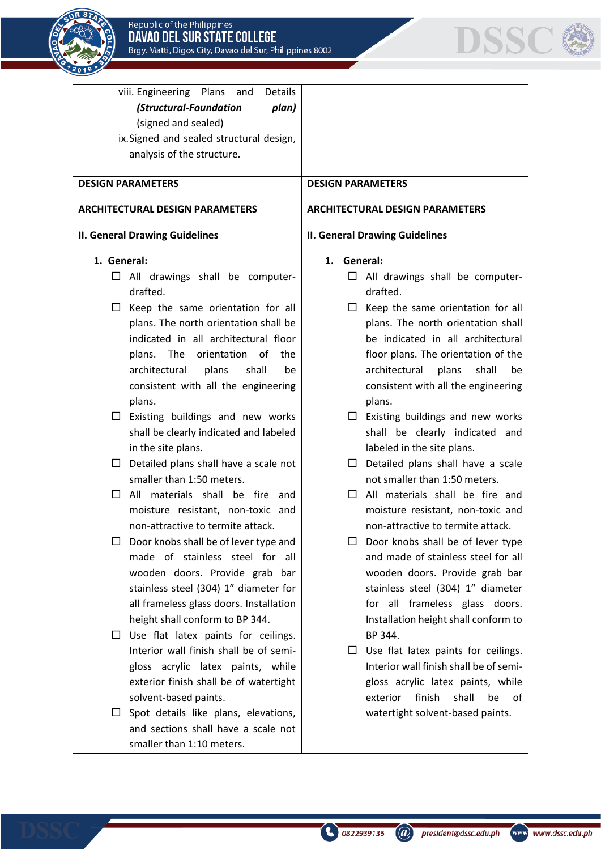



| viii. Engineering Plans and<br>Details<br>(Structural-Foundation<br>plan)<br>(signed and sealed)<br>ix. Signed and sealed structural design,<br>analysis of the structure.                                                                                                                                                                                                                                                                                                                                                                                                                                                                                                                                                                                                                                                                                                                                                                                                                                                                                                                                                      |                                                                                                                                                                                                                                                                                                                                                                                                                                                                                                                                                                                                                                                                                                                                                                                                                                                                                                                                                                                                                                                                                              |
|---------------------------------------------------------------------------------------------------------------------------------------------------------------------------------------------------------------------------------------------------------------------------------------------------------------------------------------------------------------------------------------------------------------------------------------------------------------------------------------------------------------------------------------------------------------------------------------------------------------------------------------------------------------------------------------------------------------------------------------------------------------------------------------------------------------------------------------------------------------------------------------------------------------------------------------------------------------------------------------------------------------------------------------------------------------------------------------------------------------------------------|----------------------------------------------------------------------------------------------------------------------------------------------------------------------------------------------------------------------------------------------------------------------------------------------------------------------------------------------------------------------------------------------------------------------------------------------------------------------------------------------------------------------------------------------------------------------------------------------------------------------------------------------------------------------------------------------------------------------------------------------------------------------------------------------------------------------------------------------------------------------------------------------------------------------------------------------------------------------------------------------------------------------------------------------------------------------------------------------|
| <b>DESIGN PARAMETERS</b>                                                                                                                                                                                                                                                                                                                                                                                                                                                                                                                                                                                                                                                                                                                                                                                                                                                                                                                                                                                                                                                                                                        | <b>DESIGN PARAMETERS</b>                                                                                                                                                                                                                                                                                                                                                                                                                                                                                                                                                                                                                                                                                                                                                                                                                                                                                                                                                                                                                                                                     |
| <b>ARCHITECTURAL DESIGN PARAMETERS</b>                                                                                                                                                                                                                                                                                                                                                                                                                                                                                                                                                                                                                                                                                                                                                                                                                                                                                                                                                                                                                                                                                          | <b>ARCHITECTURAL DESIGN PARAMETERS</b>                                                                                                                                                                                                                                                                                                                                                                                                                                                                                                                                                                                                                                                                                                                                                                                                                                                                                                                                                                                                                                                       |
| <b>II. General Drawing Guidelines</b>                                                                                                                                                                                                                                                                                                                                                                                                                                                                                                                                                                                                                                                                                                                                                                                                                                                                                                                                                                                                                                                                                           | <b>II. General Drawing Guidelines</b>                                                                                                                                                                                                                                                                                                                                                                                                                                                                                                                                                                                                                                                                                                                                                                                                                                                                                                                                                                                                                                                        |
| 1. General:<br>$\Box$ All drawings shall be computer-<br>drafted.<br>$\Box$ Keep the same orientation for all<br>plans. The north orientation shall be<br>indicated in all architectural floor<br>plans. The orientation of<br>the<br>architectural<br>plans<br>shall<br>be<br>consistent with all the engineering<br>plans.<br>Existing buildings and new works<br>⊔.<br>shall be clearly indicated and labeled<br>in the site plans.<br>$\Box$ Detailed plans shall have a scale not<br>smaller than 1:50 meters.<br>All materials shall be fire and<br>$\Box$<br>moisture resistant, non-toxic and<br>non-attractive to termite attack.<br>Door knobs shall be of lever type and<br>made of stainless steel for all<br>wooden doors. Provide grab bar<br>stainless steel (304) 1" diameter for<br>all frameless glass doors. Installation<br>height shall conform to BP 344.<br>Use flat latex paints for ceilings.<br>$\Box$<br>Interior wall finish shall be of semi-<br>gloss acrylic latex paints, while<br>exterior finish shall be of watertight<br>solvent-based paints.<br>Spot details like plans, elevations,<br>ப | General:<br>1.<br>$\Box$ All drawings shall be computer-<br>drafted.<br>$\Box$ Keep the same orientation for all<br>plans. The north orientation shall<br>be indicated in all architectural<br>floor plans. The orientation of the<br>architectural plans<br>shall<br>be<br>consistent with all the engineering<br>plans.<br>$\square$ Existing buildings and new works<br>shall be clearly indicated and<br>labeled in the site plans.<br>Detailed plans shall have a scale<br>⊔ ⊢<br>not smaller than 1:50 meters.<br>$\Box$ All materials shall be fire and<br>moisture resistant, non-toxic and<br>non-attractive to termite attack.<br>Door knobs shall be of lever type<br>and made of stainless steel for all<br>wooden doors. Provide grab bar<br>stainless steel (304) 1" diameter<br>for all frameless glass doors.<br>Installation height shall conform to<br>BP 344.<br>$\Box$ Use flat latex paints for ceilings.<br>Interior wall finish shall be of semi-<br>gloss acrylic latex paints, while<br>finish<br>shall<br>be<br>0f<br>exterior<br>watertight solvent-based paints. |
| and sections shall have a scale not<br>smaller than 1:10 meters.                                                                                                                                                                                                                                                                                                                                                                                                                                                                                                                                                                                                                                                                                                                                                                                                                                                                                                                                                                                                                                                                |                                                                                                                                                                                                                                                                                                                                                                                                                                                                                                                                                                                                                                                                                                                                                                                                                                                                                                                                                                                                                                                                                              |
|                                                                                                                                                                                                                                                                                                                                                                                                                                                                                                                                                                                                                                                                                                                                                                                                                                                                                                                                                                                                                                                                                                                                 |                                                                                                                                                                                                                                                                                                                                                                                                                                                                                                                                                                                                                                                                                                                                                                                                                                                                                                                                                                                                                                                                                              |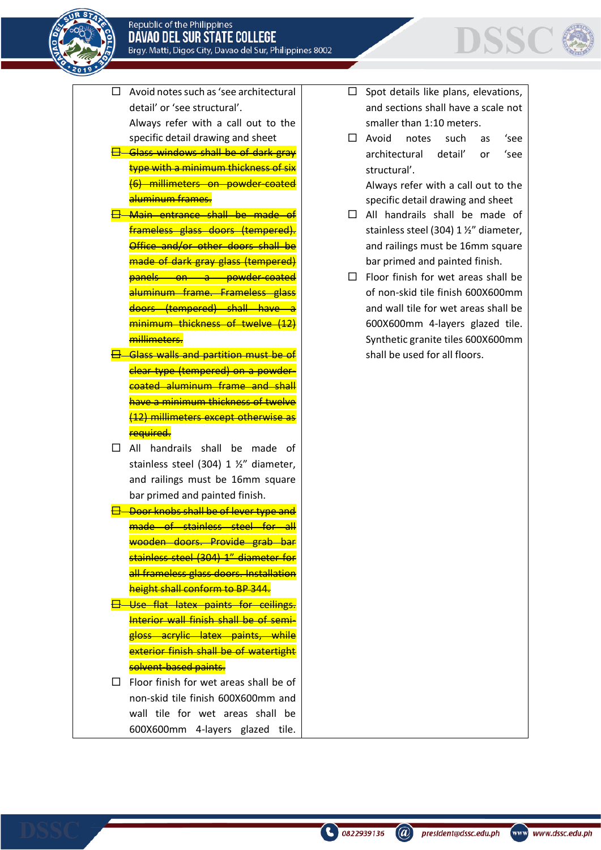



- $\Box$  Avoid notes such as 'see architectural detail' or 'see structural'. Always refer with a call out to the specific detail drawing and sheet
- 日 Glass windows shall be of dark gray type with a minimum thickness of six (6) millimeters on powder-coated aluminum frames.
- 日 Main entrance shall be made of frameless glass doors (tempered). Office and/or other doors shall be made of dark gray glass (tempered) panels on a powder-coated aluminum frame. Frameless glass doors (tempered) shall have a minimum thickness of twelve millimeters.
- **Glass walls and partition must be of** clear type (tempered) on a powdercoated aluminum frame and shall have a minimum thickness of twelve (12) millimeters except otherwise as required.
- $\Box$  All handrails shall be made of stainless steel (304) 1 ½" diameter, and railings must be 16mm square bar primed and painted finish.
- <del> $\boxdot$  Door knobs shall be of lever type and</del> made of stainless steel for all wooden doors. Provide grab bar stainless steel (304) 1" diameter for all frameless glass doors. Installation height shall conform to BP 344.
- 日 Use flat latex paints for ceilings. Interior wall finish shall be of semigloss acrylic latex paints, while exterior finish shall be of watertight solvent-based paints.

 $\Box$  Floor finish for wet areas shall be of non-skid tile finish 600X600mm and wall tile for wet areas shall be 600X600mm 4-layers glazed tile.

- $\Box$  Spot details like plans, elevations, and sections shall have a scale not smaller than 1:10 meters.
- □ Avoid notes such as 'see architectural detail' or 'see structural'.

Always refer with a call out to the specific detail drawing and sheet

- All handrails shall be made of stainless steel (304) 1 ½" diameter, and railings must be 16mm square bar primed and painted finish.
- $\Box$  Floor finish for wet areas shall be of non-skid tile finish 600X600mm and wall tile for wet areas shall be 600X600mm 4-layers glazed tile. Synthetic granite tiles 600X600mm shall be used for all floors.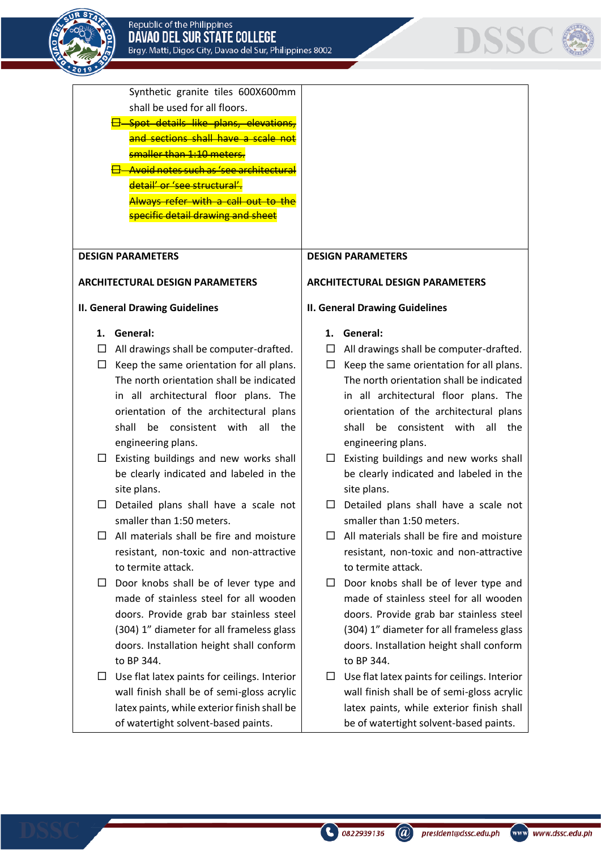



Synthetic granite tiles 600X600mm shall be used for all floors. Spot details like plans, elevations, and sections shall have a scale not smaller than 1:10 meters. Avoid notes such as 'see architectural detail' or 'see structural'. Always refer with a call out to the <mark>specific detail drawing and sheet</mark> **DESIGN PARAMETERS DESIGN PARAMETERS ARCHITECTURAL DESIGN PARAMETERS ARCHITECTURAL DESIGN PARAMETERS II. General Drawing Guidelines II. General Drawing Guidelines** 1. General: 1. General:  $\Box$  All drawings shall be computer-drafted.  $\Box$  All drawings shall be computer-drafted.  $\Box$  Keep the same orientation for all plans.  $\Box$  Keep the same orientation for all plans. The north orientation shall be indicated The north orientation shall be indicated in all architectural floor plans. The in all architectural floor plans. The orientation of the architectural plans orientation of the architectural plans shall be consistent with all the shall be consistent with all the engineering plans. engineering plans.  $\Box$  Existing buildings and new works shall  $\Box$  Existing buildings and new works shall be clearly indicated and labeled in the be clearly indicated and labeled in the site plans. site plans.  $\Box$  Detailed plans shall have a scale not  $\Box$  Detailed plans shall have a scale not smaller than 1:50 meters. smaller than 1:50 meters.  $\Box$  All materials shall be fire and moisture  $\Box$  All materials shall be fire and moisture resistant, non-toxic and non-attractive resistant, non-toxic and non-attractive to termite attack. to termite attack.  $\Box$  Door knobs shall be of lever type and  $\Box$  Door knobs shall be of lever type and made of stainless steel for all wooden made of stainless steel for all wooden doors. Provide grab bar stainless steel doors. Provide grab bar stainless steel (304) 1" diameter for all frameless glass (304) 1" diameter for all frameless glass doors. Installation height shall conform doors. Installation height shall conform to BP 344. to BP 344  $\Box$  Use flat latex paints for ceilings. Interior  $\Box$  Use flat latex paints for ceilings. Interior wall finish shall be of semi-gloss acrylic wall finish shall be of semi-gloss acrylic latex paints, while exterior finish shall be latex paints, while exterior finish shall of watertight solvent-based paints. be of watertight solvent-based paints.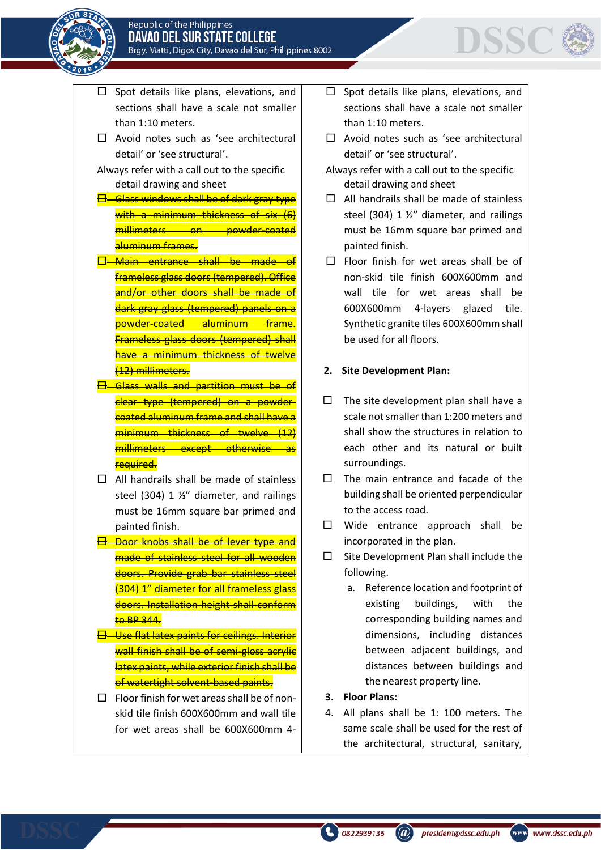

- $\square$  Spot details like plans, elevations, and sections shall have a scale not smaller than 1:10 meters.
- $\Box$  Avoid notes such as 'see architectural detail' or 'see structural'.
- Always refer with a call out to the specific detail drawing and sheet
- $\overline{\boxminus}$  Glass windows shall be of dark gray type with a minimum thickness of six (6) millimeters on powder-coated aluminum frames.
- Main entrance shall be made of frameless glass doors (tempered). Office and/or other doors shall be made of dark gray glass (tempered) panels on a powder-coated aluminum frame. Frameless glass doors (tempered) shall have a minimum thickness of twelve (12) millimeters.
- **Glass walls and partition must be of** clear type (tempered) on a powdercoated aluminum frame and shall have a minimum thickness of twelve (12) millimeters except otherwise as required.
- $\Box$  All handrails shall be made of stainless steel (304) 1 ½" diameter, and railings must be 16mm square bar primed and painted finish.
- Door knobs shall be of lever type and made of stainless steel for all wooden doors. Provide grab bar stainless steel (304) 1" diameter for all frameless glass doors. Installation height shall conform  $to$  BP 344.
- **H** Use flat latex paints for ceilings. Interior wall finish shall be of semi-gloss acrylic latex paints, while exterior finish shall be of watertight solvent-based paints.
- $\Box$  Floor finish for wet areas shall be of nonskid tile finish 600X600mm and wall tile for wet areas shall be 600X600mm 4-
- $\Box$  Spot details like plans, elevations, and sections shall have a scale not smaller than 1:10 meters.
- $\Box$  Avoid notes such as 'see architectural detail' or 'see structural'.
- Always refer with a call out to the specific detail drawing and sheet
- $\Box$  All handrails shall be made of stainless steel (304) 1 ½" diameter, and railings must be 16mm square bar primed and painted finish.
- $\Box$  Floor finish for wet areas shall be of non-skid tile finish 600X600mm and wall tile for wet areas shall be 600X600mm 4-layers glazed tile. Synthetic granite tiles 600X600mm shall be used for all floors.

### **2. Site Development Plan:**

- $\Box$  The site development plan shall have a scale not smaller than 1:200 meters and shall show the structures in relation to each other and its natural or built surroundings.
- $\Box$  The main entrance and facade of the building shall be oriented perpendicular to the access road.
- $\Box$  Wide entrance approach shall be incorporated in the plan.
- $\square$  Site Development Plan shall include the following.
	- a. Reference location and footprint of existing buildings, with the corresponding building names and dimensions, including distances between adjacent buildings, and distances between buildings and the nearest property line.
- **3. Floor Plans:**
- 4. All plans shall be 1: 100 meters. The same scale shall be used for the rest of the architectural, structural, sanitary,

 $\binom{1}{2}$  0822939136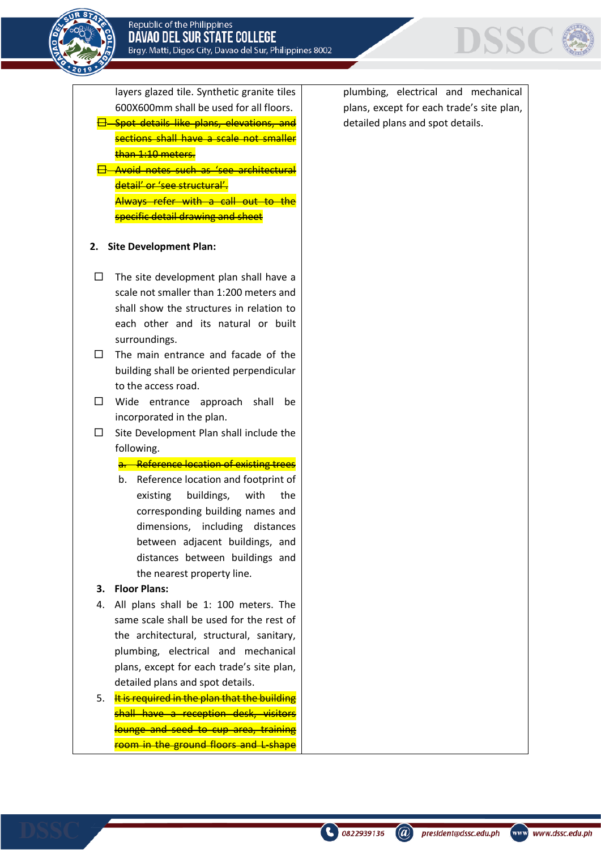

layers glazed tile. Synthetic granite tiles 600X600mm shall be used for all floors.

- Spot details like plans, elevations, and sections shall have a scale not smaller than 1:10 meters.
- Avoid notes such as 'see architectural detail' or 'see structural'. Always refer with a call out specific detail drawing and sheet

### **2. Site Development Plan:**

- $\Box$  The site development plan shall have a scale not smaller than 1:200 meters and shall show the structures in relation to each other and its natural or built surroundings.
- $\square$  The main entrance and facade of the building shall be oriented perpendicular to the access road.
- □ Wide entrance approach shall be incorporated in the plan.
- $\square$  Site Development Plan shall include the following.

#### a. Reference location of existing trees

b. Reference location and footprint of existing buildings, with the corresponding building names and dimensions, including distances between adjacent buildings, and distances between buildings and the nearest property line.

### **3. Floor Plans:**

- 4. All plans shall be 1: 100 meters. The same scale shall be used for the rest of the architectural, structural, sanitary, plumbing, electrical and mechanical plans, except for each trade's site plan, detailed plans and spot details.
- 5. It is required in the plan that the building shall have a reception desk, visitors lounge and seed to cup area, training room in the ground floors and L-shape

plumbing, electrical and mechanical plans, except for each trade's site plan, detailed plans and spot details.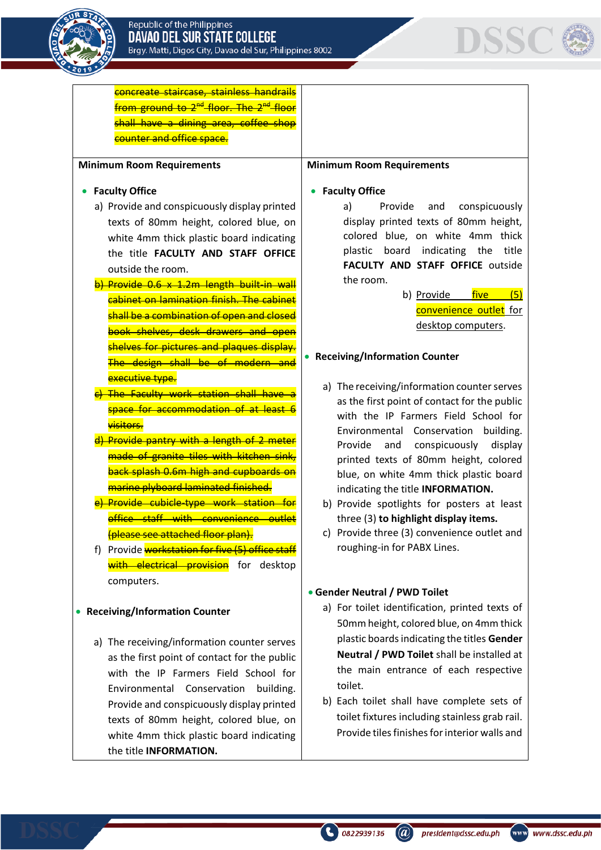



concreate staircase, stainless handrails from ground to 2<sup>nd</sup> floor. The 2<sup>nd</sup> floor shall have a dining area, coffee shop counter and office space.

#### **Minimum Room Requirements**

#### • **Faculty Office**

- a) Provide and conspicuously display printed texts of 80mm height, colored blue, on white 4mm thick plastic board indicating the title **FACULTY AND STAFF OFFICE** outside the room.
- b) Provide 0.6 x 1.2m length built-in wall cabinet on lamination finish. The cabinet shall be a combination of open and closed book shelves, desk drawers and open shelves for pictures and plaques display. The design shall be of modern executive type.
- The Faculty work station shall have a space for accommodation of at least 6 visitors.
- d) Provide pantry with a length of 2 meter made of granite tiles with kitchen sink, back splash 0.6m high and cupboards on marine plyboard laminated finished.
- e) Provide cubicle-type work station for office staff with convenience outlet (please see attached floor plan).
- f) Provide workstation for five (5) office staff with electrical provision for desktop computers.

#### • **Receiving/Information Counter**

a) The receiving/information counter serves as the first point of contact for the public with the IP Farmers Field School for Environmental Conservation building. Provide and conspicuously display printed texts of 80mm height, colored blue, on white 4mm thick plastic board indicating the title **INFORMATION.**

#### **Minimum Room Requirements**

#### • **Faculty Office**

a) Provide and conspicuously display printed texts of 80mm height, colored blue, on white 4mm thick plastic board indicating the title **FACULTY AND STAFF OFFICE** outside the room.

> b) Provide five (5) convenience outlet for desktop computers.

#### • **Receiving/Information Counter**

- a) The receiving/information counter serves as the first point of contact for the public with the IP Farmers Field School for Environmental Conservation building. Provide and conspicuously display printed texts of 80mm height, colored blue, on white 4mm thick plastic board indicating the title **INFORMATION.**
- b) Provide spotlights for posters at least three (3) **to highlight display items.**
- c) Provide three (3) convenience outlet and roughing-in for PABX Lines.

#### • **Gender Neutral / PWD Toilet**

- a) For toilet identification, printed texts of 50mm height, colored blue, on 4mm thick plastic boards indicating the titles **Gender Neutral / PWD Toilet** shall be installed at the main entrance of each respective toilet.
- b) Each toilet shall have complete sets of toilet fixtures including stainless grab rail. Provide tiles finishes for interior walls and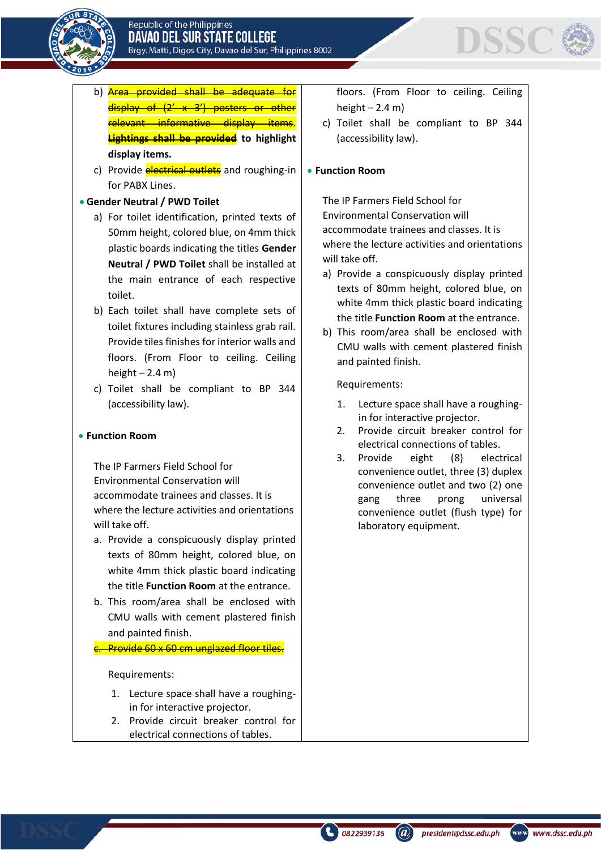



- b) **Area provided shall be adequate for** display of (2' x 3') posters or other relevant informative display items. **Lightings shall be provided to highlight display items.**
- c) Provide **electrical outlets** and roughing-in for PABX Lines.

# • **Gender Neutral / PWD Toilet**

- a) For toilet identification, printed texts of 50mm height, colored blue, on 4mm thick plastic boards indicating the titles **Gender Neutral / PWD Toilet** shall be installed at the main entrance of each respective toilet.
- b) Each toilet shall have complete sets of toilet fixtures including stainless grab rail. Provide tiles finishes for interior walls and floors. (From Floor to ceiling. Ceiling height  $-2.4$  m)
- c) Toilet shall be compliant to BP 344 (accessibility law).

### • **Function Room**

The IP Farmers Field School for Environmental Conservation will accommodate trainees and classes. It is where the lecture activities and orientations will take off.

- a. Provide a conspicuously display printed texts of 80mm height, colored blue, on white 4mm thick plastic board indicating the title **Function Room** at the entrance.
- b. This room/area shall be enclosed with CMU walls with cement plastered finish and painted finish.

c. Provide 60 x 60 cm unglazed floor tiles.

#### Requirements:

- 1. Lecture space shall have a roughingin for interactive projector.
- 2. Provide circuit breaker control for electrical connections of tables.

floors. (From Floor to ceiling. Ceiling height  $-2.4$  m)

c) Toilet shall be compliant to BP 344 (accessibility law).

# • **Function Room**

The IP Farmers Field School for Environmental Conservation will accommodate trainees and classes. It is where the lecture activities and orientations will take off.

- a) Provide a conspicuously display printed texts of 80mm height, colored blue, on white 4mm thick plastic board indicating the title **Function Room** at the entrance.
- b) This room/area shall be enclosed with CMU walls with cement plastered finish and painted finish.

Requirements:

- 1. Lecture space shall have a roughingin for interactive projector.
- 2. Provide circuit breaker control for electrical connections of tables.
- 3. Provide eight (8) electrical convenience outlet, three (3) duplex convenience outlet and two (2) one gang three prong universal convenience outlet (flush type) for laboratory equipment.

president@dssc.edu.ph

www www.dssc.edu.ph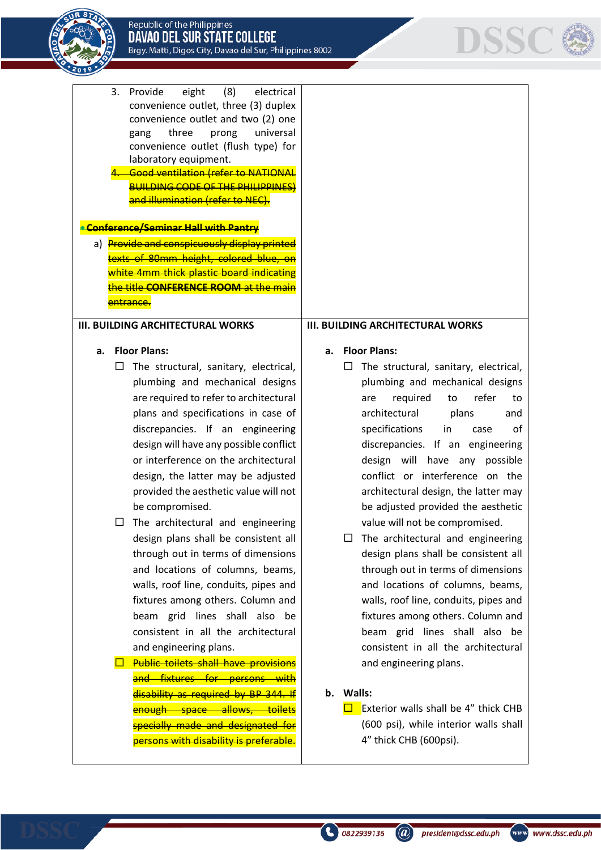



| eight<br>(8)<br>3.<br>Provide<br>electrical<br>convenience outlet, three (3) duplex<br>convenience outlet and two (2) one<br>universal<br>three<br>prong<br>gang<br>convenience outlet (flush type) for<br>laboratory equipment.<br><b>Good ventilation (refer to NATIONAL</b><br><b>BUILDING CODE OF THE PHILIPPINES)</b><br>and illumination (refer to NEC).<br><b>Conference/Seminar Hall with Pantry</b><br>a) Provide and conspicuously display printed<br>texts of 80mm height, colored blue, on<br>white 4mm thick plastic board indicating<br>the title CONFERENCE ROOM at the m<br>entrance.<br><b>III. BUILDING ARCHITECTURAL WORKS</b>                                                                                                                                                                                                                                                                                                                                                 | <b>III. BUILDING ARCHITECTURAL WORKS</b>                                                                                                                                                                                                                                                                                                                                                                                                                                                                                                                                                                                                                                                                                                                                                                                                                                                                              |
|---------------------------------------------------------------------------------------------------------------------------------------------------------------------------------------------------------------------------------------------------------------------------------------------------------------------------------------------------------------------------------------------------------------------------------------------------------------------------------------------------------------------------------------------------------------------------------------------------------------------------------------------------------------------------------------------------------------------------------------------------------------------------------------------------------------------------------------------------------------------------------------------------------------------------------------------------------------------------------------------------|-----------------------------------------------------------------------------------------------------------------------------------------------------------------------------------------------------------------------------------------------------------------------------------------------------------------------------------------------------------------------------------------------------------------------------------------------------------------------------------------------------------------------------------------------------------------------------------------------------------------------------------------------------------------------------------------------------------------------------------------------------------------------------------------------------------------------------------------------------------------------------------------------------------------------|
|                                                                                                                                                                                                                                                                                                                                                                                                                                                                                                                                                                                                                                                                                                                                                                                                                                                                                                                                                                                                   |                                                                                                                                                                                                                                                                                                                                                                                                                                                                                                                                                                                                                                                                                                                                                                                                                                                                                                                       |
| <b>Floor Plans:</b><br>a.<br>The structural, sanitary, electrical,<br>ப<br>plumbing and mechanical designs<br>are required to refer to architectural<br>plans and specifications in case of<br>discrepancies. If an engineering<br>design will have any possible conflict<br>or interference on the architectural<br>design, the latter may be adjusted<br>provided the aesthetic value will not<br>be compromised.<br>The architectural and engineering<br>design plans shall be consistent all<br>through out in terms of dimensions<br>and locations of columns, beams,<br>walls, roof line, conduits, pipes and<br>fixtures among others. Column and<br>beam grid lines shall also be<br>consistent in all the architectural<br>and engineering plans.<br><b>Public toilets shall have provisions</b><br>and fixtures for persons with<br>disability as required by BP 344. If<br>enough space allows, toilets<br>specially made and designated for<br>persons with disability is preferable. | <b>Floor Plans:</b><br>a.<br>The structural, sanitary, electrical,<br>⊔<br>plumbing and mechanical designs<br>refer<br>required<br>to<br>to<br>are<br>architectural<br>plans<br>and<br>specifications<br>in<br>case<br>οf<br>discrepancies. If an engineering<br>design will have any possible<br>conflict or interference on the<br>architectural design, the latter may<br>be adjusted provided the aesthetic<br>value will not be compromised.<br>The architectural and engineering<br>⊔<br>design plans shall be consistent all<br>through out in terms of dimensions<br>and locations of columns, beams,<br>walls, roof line, conduits, pipes and<br>fixtures among others. Column and<br>beam grid lines shall also be<br>consistent in all the architectural<br>and engineering plans.<br>b. Walls:<br>Exterior walls shall be 4" thick CHB<br>(600 psi), while interior walls shall<br>4" thick CHB (600psi). |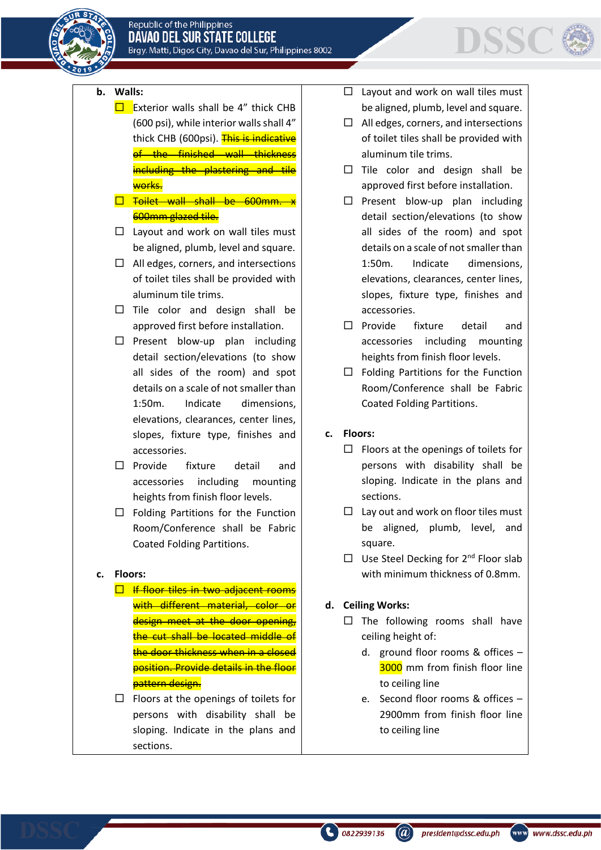

# DSSC

# **b. Walls:**

- $\square$  Exterior walls shall be 4" thick CHB (600 psi), while interior walls shall 4" thick CHB (600psi). This is indicative of the finished wall thickness including the plastering and tile works.
- T Toilet wall shall be 600mm 600mm glazed tile.
- $\Box$  Layout and work on wall tiles must be aligned, plumb, level and square.
- $\Box$  All edges, corners, and intersections of toilet tiles shall be provided with aluminum tile trims.
- $\Box$  Tile color and design shall be approved first before installation.
- $\square$  Present blow-up plan including detail section/elevations (to show all sides of the room) and spot details on a scale of not smaller than 1:50m. Indicate dimensions, elevations, clearances, center lines, slopes, fixture type, finishes and accessories.
- $\square$  Provide fixture detail and accessories including mounting heights from finish floor levels.
- $\Box$  Folding Partitions for the Function Room/Conference shall be Fabric Coated Folding Partitions.

#### **c. Floors:**

- $\Box$  If floor tiles in two adjacent rooms with different material, color or design meet at the door opening, the cut shall be located middle of the door thickness when in a closed position. Provide details in the floor pattern design.
- $\Box$  Floors at the openings of toilets for persons with disability shall be sloping. Indicate in the plans and sections.
- $\Box$  Layout and work on wall tiles must be aligned, plumb, level and square.
- $\Box$  All edges, corners, and intersections of toilet tiles shall be provided with aluminum tile trims.
- $\Box$  Tile color and design shall be approved first before installation.
- $\square$  Present blow-up plan including detail section/elevations (to show all sides of the room) and spot details on a scale of not smaller than 1:50m. Indicate dimensions, elevations, clearances, center lines, slopes, fixture type, finishes and accessories.
- $\square$  Provide fixture detail and accessories including mounting heights from finish floor levels.
- $\Box$  Folding Partitions for the Function Room/Conference shall be Fabric Coated Folding Partitions.
- **c. Floors:**
	- $\Box$  Floors at the openings of toilets for persons with disability shall be sloping. Indicate in the plans and sections.
	- $\Box$  Lay out and work on floor tiles must be aligned, plumb, level, and square.
	- $\Box$  Use Steel Decking for 2<sup>nd</sup> Floor slab with minimum thickness of 0.8mm.
- **d. Ceiling Works:**
	- $\Box$  The following rooms shall have ceiling height of:
		- d. ground floor rooms & offices 3000 mm from finish floor line to ceiling line
		- e. Second floor rooms & offices 2900mm from finish floor line to ceiling line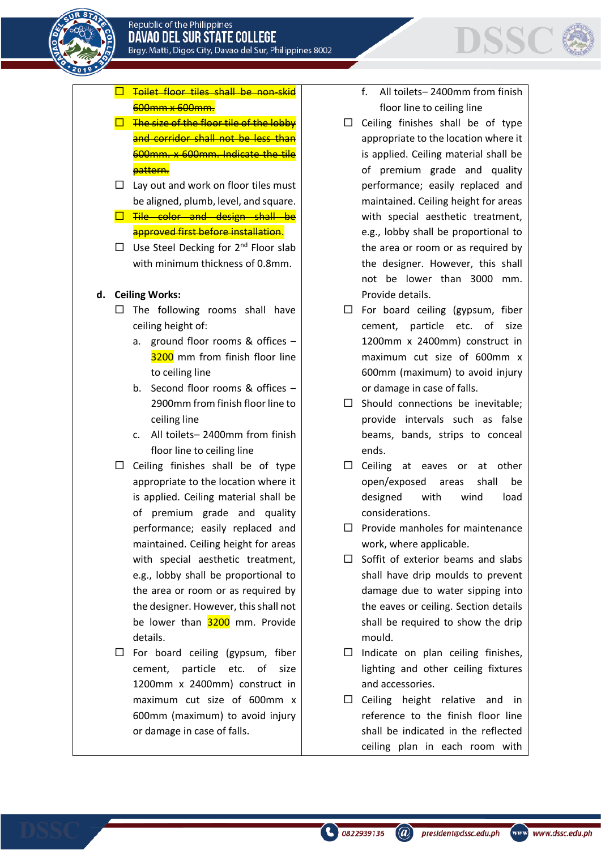# $\square$  Toilet floor tiles shall be non-skid 600mm x 600mm.

- $\Box$  The size of the floor tile of the lobby and corridor shall not be less than 600mm. x 600mm. Indicate the tile pattern.
- $\Box$  Lay out and work on floor tiles must be aligned, plumb, level, and square.
- $\square$  Tile color and design shall be approved first before installation.
- $\Box$  Use Steel Decking for 2<sup>nd</sup> Floor slab with minimum thickness of 0.8mm.

# **d. Ceiling Works:**

- $\Box$  The following rooms shall have ceiling height of:
	- a. ground floor rooms & offices 3200 mm from finish floor line to ceiling line
	- b. Second floor rooms & offices 2900mm from finish floor line to ceiling line
	- c. All toilets– 2400mm from finish floor line to ceiling line
- $\square$  Ceiling finishes shall be of type appropriate to the location where it is applied. Ceiling material shall be of premium grade and quality performance; easily replaced and maintained. Ceiling height for areas with special aesthetic treatment, e.g., lobby shall be proportional to the area or room or as required by the designer. However, this shall not be lower than 3200 mm. Provide details.
- $\Box$  For board ceiling (gypsum, fiber cement, particle etc. of size 1200mm x 2400mm) construct in maximum cut size of 600mm x 600mm (maximum) to avoid injury or damage in case of falls.

f. All toilets– 2400mm from finish floor line to ceiling line

**DSSC** 

- $\square$  Ceiling finishes shall be of type appropriate to the location where it is applied. Ceiling material shall be of premium grade and quality performance; easily replaced and maintained. Ceiling height for areas with special aesthetic treatment, e.g., lobby shall be proportional to the area or room or as required by the designer. However, this shall not be lower than 3000 mm. Provide details.
- $\Box$  For board ceiling (gypsum, fiber cement, particle etc. of size 1200mm x 2400mm) construct in maximum cut size of 600mm x 600mm (maximum) to avoid injury or damage in case of falls.
- $\square$  Should connections be inevitable; provide intervals such as false beams, bands, strips to conceal ends.
- $\square$  Ceiling at eaves or at other open/exposed areas shall be designed with wind load considerations.
- $\Box$  Provide manholes for maintenance work, where applicable.
- $\Box$  Soffit of exterior beams and slabs shall have drip moulds to prevent damage due to water sipping into the eaves or ceiling. Section details shall be required to show the drip mould.
- $\Box$  Indicate on plan ceiling finishes, lighting and other ceiling fixtures and accessories.
- $\square$  Ceiling height relative and in reference to the finish floor line shall be indicated in the reflected ceiling plan in each room with

 $\binom{1}{2}$  0822939136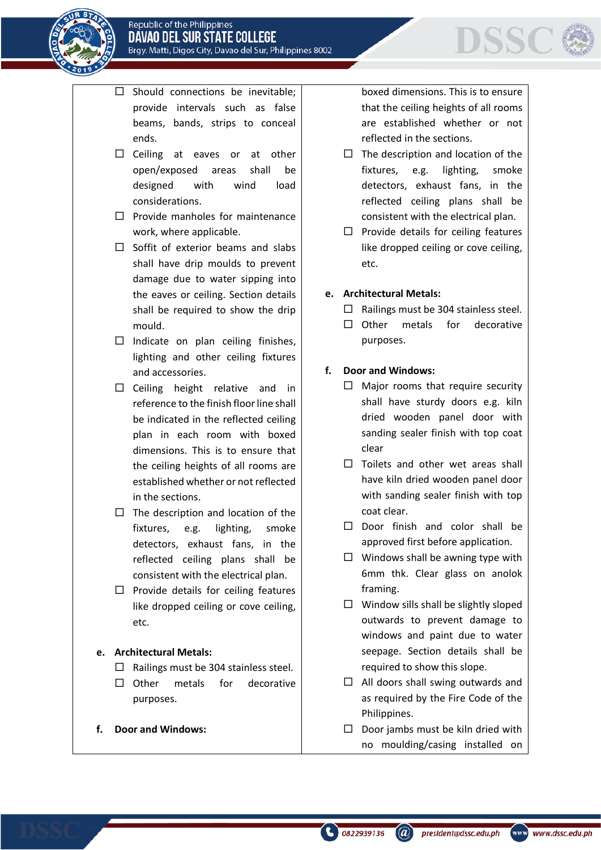

- $\square$  Should connections be inevitable; provide intervals such as false beams, bands, strips to conceal ends.
- $\square$  Ceiling at eaves or at other open/exposed areas shall be designed with wind load considerations.
- $\Box$  Provide manholes for maintenance work, where applicable.
- $\Box$  Soffit of exterior beams and slabs shall have drip moulds to prevent damage due to water sipping into the eaves or ceiling. Section details shall be required to show the drip mould.
- $\square$  Indicate on plan ceiling finishes, lighting and other ceiling fixtures and accessories.
- $\square$  Ceiling height relative and in reference to the finish floor line shall be indicated in the reflected ceiling plan in each room with boxed dimensions. This is to ensure that the ceiling heights of all rooms are established whether or not reflected in the sections.
- $\Box$  The description and location of the fixtures, e.g. lighting, smoke detectors, exhaust fans, in the reflected ceiling plans shall be consistent with the electrical plan.
- $\square$  Provide details for ceiling features like dropped ceiling or cove ceiling, etc.

# **e. Architectural Metals:**

- $\Box$  Railings must be 304 stainless steel.
- $\Box$  Other metals for decorative purposes.
- **f. Door and Windows:**

boxed dimensions. This is to ensure that the ceiling heights of all rooms are established whether or not reflected in the sections.

- $\Box$  The description and location of the fixtures, e.g. lighting, smoke detectors, exhaust fans, in the reflected ceiling plans shall be consistent with the electrical plan.
- $\Box$  Provide details for ceiling features like dropped ceiling or cove ceiling, etc.
- **e. Architectural Metals:**
	- $\Box$  Railings must be 304 stainless steel.
	- $\square$  Other metals for decorative purposes.

# **f. Door and Windows:**

- $\Box$  Major rooms that require security shall have sturdy doors e.g. kiln dried wooden panel door with sanding sealer finish with top coat clear
- $\Box$  Toilets and other wet areas shall have kiln dried wooden panel door with sanding sealer finish with top coat clear.
- $\Box$  Door finish and color shall be approved first before application.
- $\Box$  Windows shall be awning type with 6mm thk. Clear glass on anolok framing.
- $\Box$  Window sills shall be slightly sloped outwards to prevent damage to windows and paint due to water seepage. Section details shall be required to show this slope.
- $\Box$  All doors shall swing outwards and as required by the Fire Code of the Philippines.
- $\square$  Door jambs must be kiln dried with no moulding/casing installed on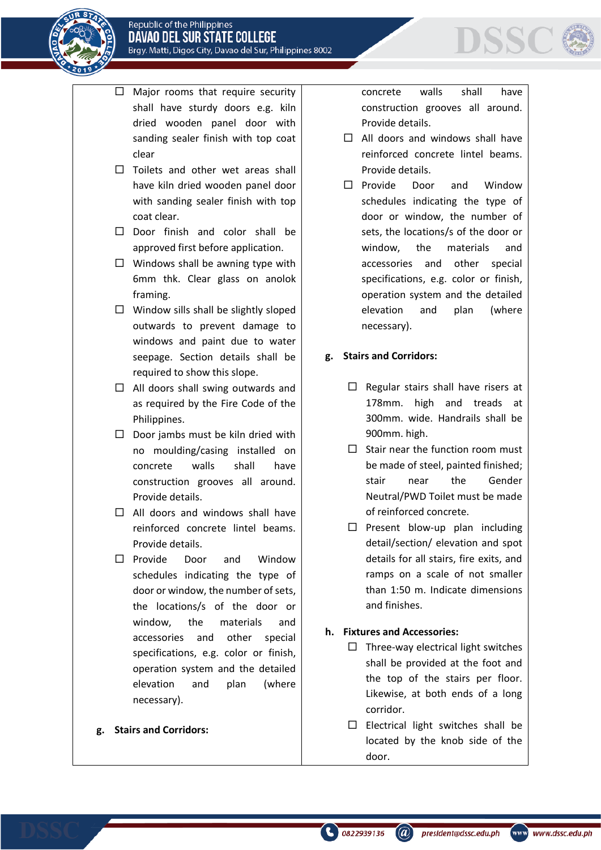



- $\Box$  Major rooms that require security shall have sturdy doors e.g. kiln dried wooden panel door with sanding sealer finish with top coat clear
- $\Box$  Toilets and other wet areas shall have kiln dried wooden panel door with sanding sealer finish with top coat clear.
- $\Box$  Door finish and color shall be approved first before application.
- $\Box$  Windows shall be awning type with 6mm thk. Clear glass on anolok framing.
- $\Box$  Window sills shall be slightly sloped outwards to prevent damage to windows and paint due to water seepage. Section details shall be required to show this slope.
- $\Box$  All doors shall swing outwards and as required by the Fire Code of the Philippines.
- $\square$  Door jambs must be kiln dried with no moulding/casing installed on concrete walls shall have construction grooves all around. Provide details.
- $\Box$  All doors and windows shall have reinforced concrete lintel beams. Provide details.
- Provide Door and Window schedules indicating the type of door or window, the number of sets, the locations/s of the door or window, the materials and accessories and other special specifications, e.g. color or finish, operation system and the detailed elevation and plan (where necessary).

#### **g. Stairs and Corridors:**

concrete walls shall have construction grooves all around. Provide details.

DSSC

- $\Box$  All doors and windows shall have reinforced concrete lintel beams. Provide details.
- $\square$  Provide Door and Window schedules indicating the type of door or window, the number of sets, the locations/s of the door or window, the materials and accessories and other special specifications, e.g. color or finish, operation system and the detailed elevation and plan (where necessary).

### **g. Stairs and Corridors:**

- $\Box$  Regular stairs shall have risers at 178mm. high and treads at 300mm. wide. Handrails shall be 900mm. high.
- $\Box$  Stair near the function room must be made of steel, painted finished; stair near the Gender Neutral/PWD Toilet must be made of reinforced concrete.
- $\square$  Present blow-up plan including detail/section/ elevation and spot details for all stairs, fire exits, and ramps on a scale of not smaller than 1:50 m. Indicate dimensions and finishes.

#### **h. Fixtures and Accessories:**

- $\Box$  Three-way electrical light switches shall be provided at the foot and the top of the stairs per floor. Likewise, at both ends of a long corridor.
- $\square$  Electrical light switches shall be located by the knob side of the door.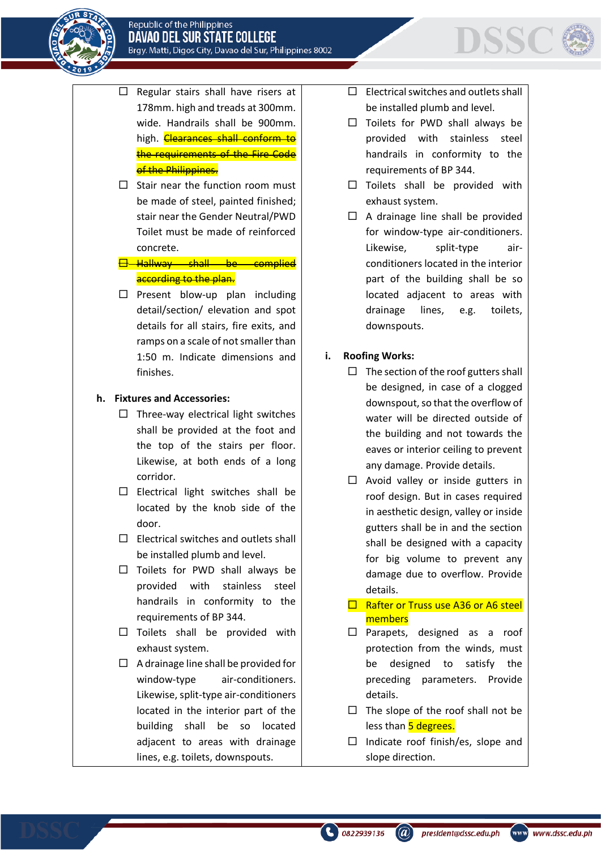

- $\Box$  Regular stairs shall have risers at 178mm. high and treads at 300mm. wide. Handrails shall be 900mm. high. **Clearances shall conform to** the requirements of the Fire Code of the Philippines.
- $\Box$  Stair near the function room must be made of steel, painted finished; stair near the Gender Neutral/PWD Toilet must be made of reinforced concrete.

**Hallway shall be complied** according to the plan.

 $\Box$  Present blow-up plan including detail/section/ elevation and spot details for all stairs, fire exits, and ramps on a scale of not smaller than 1:50 m. Indicate dimensions and finishes.

# **h. Fixtures and Accessories:**

- $\Box$  Three-way electrical light switches shall be provided at the foot and the top of the stairs per floor. Likewise, at both ends of a long corridor.
- $\square$  Electrical light switches shall be located by the knob side of the door.
- $\square$  Electrical switches and outlets shall be installed plumb and level.
- $\Box$  Toilets for PWD shall always be provided with stainless steel handrails in conformity to the requirements of BP 344.
- $\square$  Toilets shall be provided with exhaust system.
- $\Box$  A drainage line shall be provided for window-type air-conditioners. Likewise, split-type air-conditioners located in the interior part of the building shall be so located adjacent to areas with drainage lines, e.g. toilets, downspouts.

 $\Box$  Electrical switches and outlets shall be installed plumb and level.

**DSSC** 

- $\Box$  Toilets for PWD shall always be provided with stainless steel handrails in conformity to the requirements of BP 344.
- $\square$  Toilets shall be provided with exhaust system.
- $\Box$  A drainage line shall be provided for window-type air-conditioners. Likewise, split-type airconditioners located in the interior part of the building shall be so located adjacent to areas with drainage lines, e.g. toilets, downspouts.

# **i. Roofing Works:**

- $\Box$  The section of the roof gutters shall be designed, in case of a clogged downspout, so that the overflow of water will be directed outside of the building and not towards the eaves or interior ceiling to prevent any damage. Provide details.
- $\Box$  Avoid valley or inside gutters in roof design. But in cases required in aesthetic design, valley or inside gutters shall be in and the section shall be designed with a capacity for big volume to prevent any damage due to overflow. Provide details.
- $\Box$  Rafter or Truss use A36 or A6 steel members
- $\square$  Parapets, designed as a roof protection from the winds, must be designed to satisfy the preceding parameters. Provide details.
- $\Box$  The slope of the roof shall not be less than 5 degrees.
- $\Box$  Indicate roof finish/es, slope and slope direction.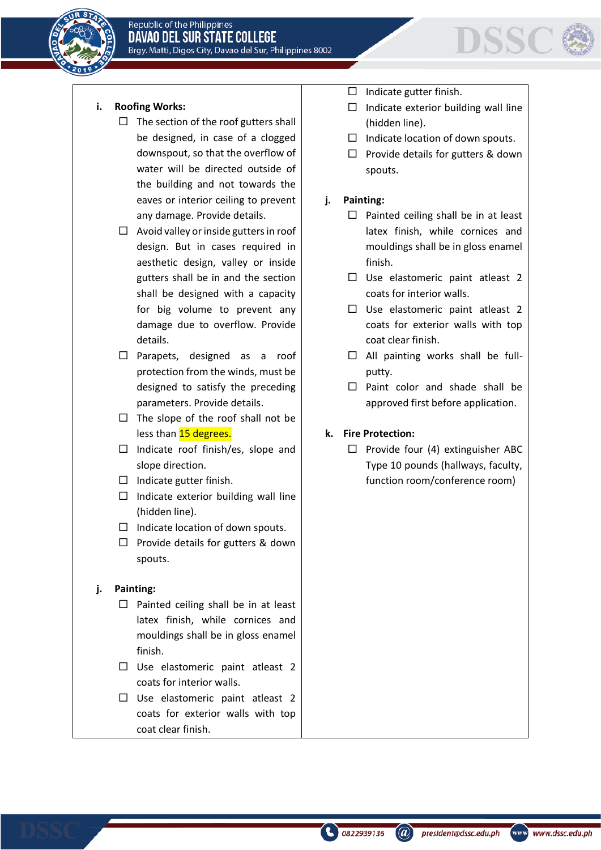



# **i. Roofing Works:**

- $\Box$  The section of the roof gutters shall be designed, in case of a clogged downspout, so that the overflow of water will be directed outside of the building and not towards the eaves or interior ceiling to prevent any damage. Provide details.
- $\Box$  Avoid valley or inside gutters in roof design. But in cases required in aesthetic design, valley or inside gutters shall be in and the section shall be designed with a capacity for big volume to prevent any damage due to overflow. Provide details.
- Parapets, designed as a roof protection from the winds, must be designed to satisfy the preceding parameters. Provide details.
- $\Box$  The slope of the roof shall not be less than 15 degrees.
- $\Box$  Indicate roof finish/es, slope and slope direction.
- $\Box$  Indicate gutter finish.
- $\Box$  Indicate exterior building wall line (hidden line).
- $\Box$  Indicate location of down spouts.
- $\Box$  Provide details for gutters & down spouts.

### **j. Painting:**

- $\Box$  Painted ceiling shall be in at least latex finish, while cornices and mouldings shall be in gloss enamel finish.
- $\Box$  Use elastomeric paint atleast 2 coats for interior walls.
- $\Box$  Use elastomeric paint atleast 2 coats for exterior walls with top coat clear finish.
- $\Box$  Indicate gutter finish.
- $\Box$  Indicate exterior building wall line (hidden line).
- $\Box$  Indicate location of down spouts.
- $\Box$  Provide details for gutters & down spouts.

# **j. Painting:**

- $\Box$  Painted ceiling shall be in at least latex finish, while cornices and mouldings shall be in gloss enamel finish.
- $\Box$  Use elastomeric paint atleast 2 coats for interior walls.
- $\Box$  Use elastomeric paint atleast 2 coats for exterior walls with top coat clear finish.
- $\Box$  All painting works shall be fullputty.
- $\Box$  Paint color and shade shall be approved first before application.

### **k. Fire Protection:**

 $\Box$  Provide four (4) extinguisher ABC Type 10 pounds (hallways, faculty, function room/conference room)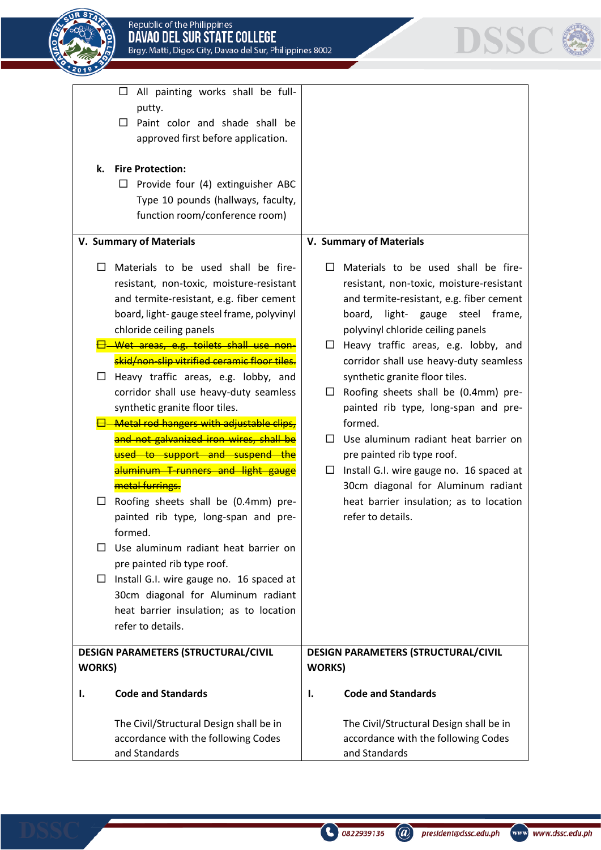



|                | All painting works shall be full-<br>□       |                |                                          |
|----------------|----------------------------------------------|----------------|------------------------------------------|
|                | putty.                                       |                |                                          |
|                | Paint color and shade shall be<br>$\Box$     |                |                                          |
|                | approved first before application.           |                |                                          |
| k.             | <b>Fire Protection:</b>                      |                |                                          |
|                | Provide four (4) extinguisher ABC<br>ப       |                |                                          |
|                | Type 10 pounds (hallways, faculty,           |                |                                          |
|                | function room/conference room)               |                |                                          |
|                |                                              |                |                                          |
|                | V. Summary of Materials                      |                | V. Summary of Materials                  |
| $\Box$         | Materials to be used shall be fire-          | $\Box$         | Materials to be used shall be fire-      |
|                | resistant, non-toxic, moisture-resistant     |                | resistant, non-toxic, moisture-resistant |
|                | and termite-resistant, e.g. fiber cement     |                | and termite-resistant, e.g. fiber cement |
|                | board, light-gauge steel frame, polyvinyl    |                | light-<br>gauge steel frame,<br>board,   |
|                | chloride ceiling panels                      |                | polyvinyl chloride ceiling panels        |
|                | Wet areas, e.g. toilets shall use non-       | $\Box$         | Heavy traffic areas, e.g. lobby, and     |
|                | skid/non-slip vitrified ceramic floor tiles. |                | corridor shall use heavy-duty seamless   |
| $\Box$         | Heavy traffic areas, e.g. lobby, and         |                | synthetic granite floor tiles.           |
|                | corridor shall use heavy-duty seamless       | $\Box$         | Roofing sheets shall be (0.4mm) pre-     |
|                | synthetic granite floor tiles.               |                | painted rib type, long-span and pre-     |
|                | Metal rod hangers with adjustable clips,     |                | formed.                                  |
|                | and not galvanized iron wires, shall be      | $\Box$         | Use aluminum radiant heat barrier on     |
|                | used to support and suspend the              |                | pre painted rib type roof.               |
|                | aluminum T-runners and light gauge           | $\Box$         | Install G.I. wire gauge no. 16 spaced at |
|                | metal furrings.                              |                | 30cm diagonal for Aluminum radiant       |
| ப              | Roofing sheets shall be (0.4mm) pre-         |                | heat barrier insulation; as to location  |
|                | painted rib type, long-span and pre-         |                | refer to details.                        |
|                | formed.                                      |                |                                          |
| П              | Use aluminum radiant heat barrier on         |                |                                          |
|                | pre painted rib type roof.                   |                |                                          |
| ப              | Install G.I. wire gauge no. 16 spaced at     |                |                                          |
|                | 30cm diagonal for Aluminum radiant           |                |                                          |
|                | heat barrier insulation; as to location      |                |                                          |
|                | refer to details.                            |                |                                          |
|                | <b>DESIGN PARAMETERS (STRUCTURAL/CIVIL</b>   |                | DESIGN PARAMETERS (STRUCTURAL/CIVIL      |
| <b>WORKS</b> ) |                                              | <b>WORKS</b> ) |                                          |
| Ι.             | <b>Code and Standards</b>                    | Ι.             | <b>Code and Standards</b>                |
|                | The Civil/Structural Design shall be in      |                | The Civil/Structural Design shall be in  |
|                | accordance with the following Codes          |                | accordance with the following Codes      |
|                |                                              |                |                                          |
|                | and Standards                                |                | and Standards                            |

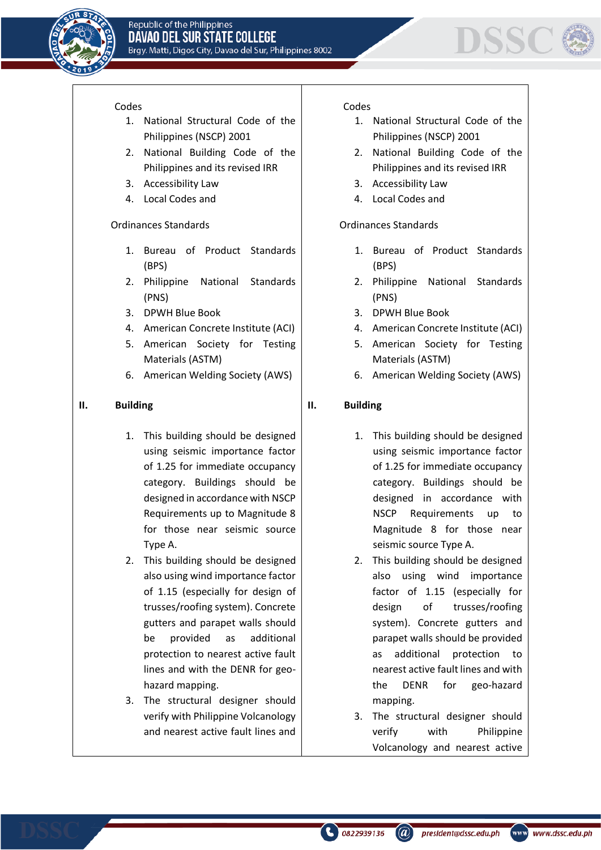



#### Codes

- 1. National Structural Code of the Philippines (NSCP) 2001
- 2. National Building Code of the Philippines and its revised IRR
- 3. Accessibility Law
- 4. Local Codes and

#### Ordinances Standards

- 1. Bureau of Product Standards (BPS)
- 2. Philippine National Standards (PNS)
- 3. DPWH Blue Book
- 4. American Concrete Institute (ACI)
- 5. American Society for Testing Materials (ASTM)
- 6. American Welding Society (AWS)

#### **II. Building**

- 1. This building should be designed using seismic importance factor of 1.25 for immediate occupancy category. Buildings should be designed in accordance with NSCP Requirements up to Magnitude 8 for those near seismic source Type A.
- 2. This building should be designed also using wind importance factor of 1.15 (especially for design of trusses/roofing system). Concrete gutters and parapet walls should be provided as additional protection to nearest active fault lines and with the DENR for geohazard mapping.
- 3. The structural designer should verify with Philippine Volcanology and nearest active fault lines and

#### Codes

- 1. National Structural Code of the Philippines (NSCP) 2001
- 2. National Building Code of the Philippines and its revised IRR
- 3. Accessibility Law
- 4. Local Codes and

#### Ordinances Standards

- 1. Bureau of Product Standards (BPS)
- 2. Philippine National Standards (PNS)
- 3. DPWH Blue Book
- 4. American Concrete Institute (ACI)
- 5. American Society for Testing Materials (ASTM)
- 6. American Welding Society (AWS)

#### **II. Building**

- 1. This building should be designed using seismic importance factor of 1.25 for immediate occupancy category. Buildings should be designed in accordance with NSCP Requirements up to Magnitude 8 for those near seismic source Type A.
- 2. This building should be designed also using wind importance factor of 1.15 (especially for design of trusses/roofing system). Concrete gutters and parapet walls should be provided as additional protection to nearest active fault lines and with the DENR for geo-hazard mapping.
- 3. The structural designer should verify with Philippine Volcanology and nearest active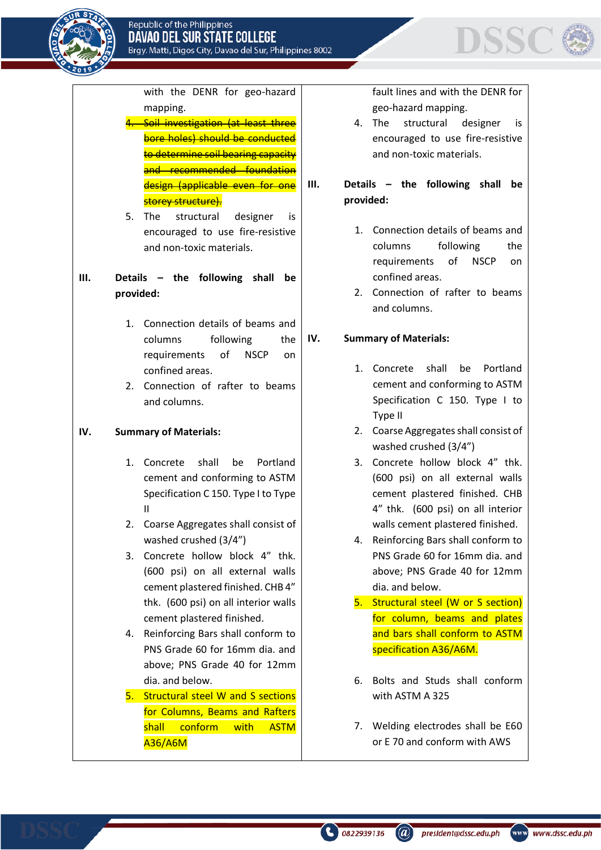

DSSC

with the DENR for geo-hazard mapping.

- Soil investigation (at least three bore holes) should be conducted to determine soil bearing capacity and recommended foundation design (applicable even for one storey structure).
- 5. The structural designer is encouraged to use fire-resistive and non-toxic materials.

# **III. Details – the following shall be provided:**

- 1. Connection details of beams and columns following the requirements of NSCP on confined areas.
- 2. Connection of rafter to beams and columns.

# **IV. Summary of Materials:**

- 1. Concrete shall be Portland cement and conforming to ASTM Specification C 150. Type I to Type II
- 2. Coarse Aggregates shall consist of washed crushed (3/4")
- 3. Concrete hollow block 4" thk. (600 psi) on all external walls cement plastered finished. CHB 4" thk. (600 psi) on all interior walls cement plastered finished.
- 4. Reinforcing Bars shall conform to PNS Grade 60 for 16mm dia. and above; PNS Grade 40 for 12mm dia. and below.
- 5. Structural steel W and S sections for Columns, Beams and Rafters shall conform with ASTM A36/A6M

fault lines and with the DENR for geo-hazard mapping.

- 4. The structural designer is encouraged to use fire-resistive and non-toxic materials.
- **III. Details – the following shall be provided:**
	- 1. Connection details of beams and columns following the requirements of NSCP on confined areas.
	- 2. Connection of rafter to beams and columns.

# **IV. Summary of Materials:**

- 1. Concrete shall be Portland cement and conforming to ASTM Specification C 150. Type I to Type II
- 2. Coarse Aggregates shall consist of washed crushed (3/4")
- 3. Concrete hollow block 4" thk. (600 psi) on all external walls cement plastered finished. CHB 4" thk. (600 psi) on all interior walls cement plastered finished.
- 4. Reinforcing Bars shall conform to PNS Grade 60 for 16mm dia. and above; PNS Grade 40 for 12mm dia. and below.
- 5. Structural steel (W or S section) for column, beams and plates and bars shall conform to ASTM specification A36/A6M.
- 6. Bolts and Studs shall conform with ASTM A 325
- 7. Welding electrodes shall be E60 or E 70 and conform with AWS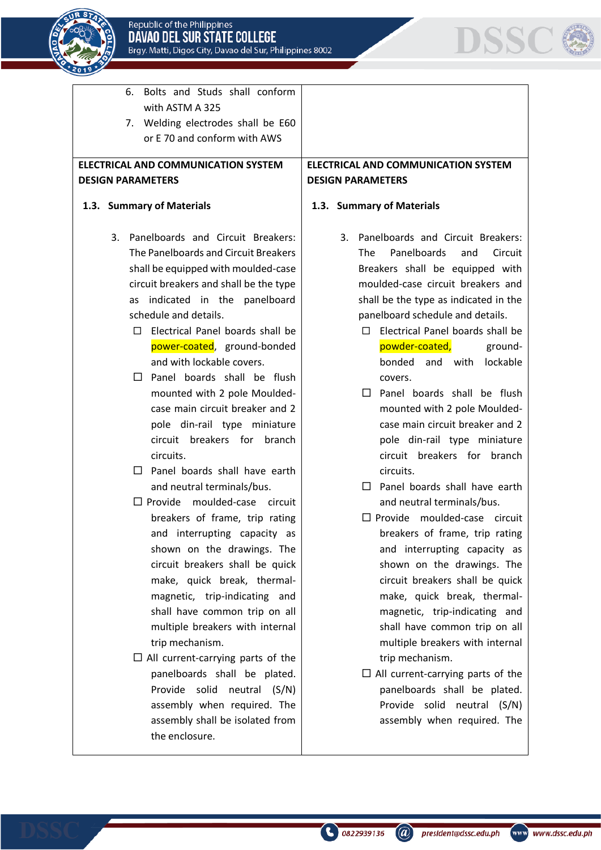

6. Bolts and Studs shall conform

with ASTM A 325



7. Welding electrodes shall be E60 or E 70 and conform with AWS **ELECTRICAL AND COMMUNICATION SYSTEM DESIGN PARAMETERS 1.3. Summary of Materials** 3. Panelboards and Circuit Breakers: The Panelboards and Circuit Breakers shall be equipped with moulded-case circuit breakers and shall be the type as indicated in the panelboard schedule and details.  $\Box$  Electrical Panel boards shall be power-coated, ground-bonded and with lockable covers.  $\square$  Panel boards shall be flush mounted with 2 pole Mouldedcase main circuit breaker and 2 pole din-rail type miniature circuit breakers for branch circuits.  $\Box$  Panel boards shall have earth and neutral terminals/bus.  $\square$  Provide moulded-case circuit breakers of frame, trip rating and interrupting capacity as shown on the drawings. The circuit breakers shall be quick make, quick break, thermalmagnetic, trip-indicating and shall have common trip on all multiple breakers with internal trip mechanism.  $\Box$  All current-carrying parts of the panelboards shall be plated. Provide solid neutral (S/N) assembly when required. The assembly shall be isolated from the enclosure. **DESIGN PARAMETERS 1.3. Summary of Materials** covers. circuits. trip mechanism.

# **ELECTRICAL AND COMMUNICATION SYSTEM**

- 3. Panelboards and Circuit Breakers: The Panelboards and Circuit Breakers shall be equipped with moulded-case circuit breakers and shall be the type as indicated in the panelboard schedule and details.
	- $\Box$  Electrical Panel boards shall be powder-coated, groundbonded and with lockable
	- $\Box$  Panel boards shall be flush mounted with 2 pole Mouldedcase main circuit breaker and 2 pole din-rail type miniature circuit breakers for branch
	- $\Box$  Panel boards shall have earth and neutral terminals/bus.
	- $\square$  Provide moulded-case circuit breakers of frame, trip rating and interrupting capacity as shown on the drawings. The circuit breakers shall be quick make, quick break, thermalmagnetic, trip-indicating and shall have common trip on all multiple breakers with internal
	- $\Box$  All current-carrying parts of the panelboards shall be plated. Provide solid neutral (S/N) assembly when required. The